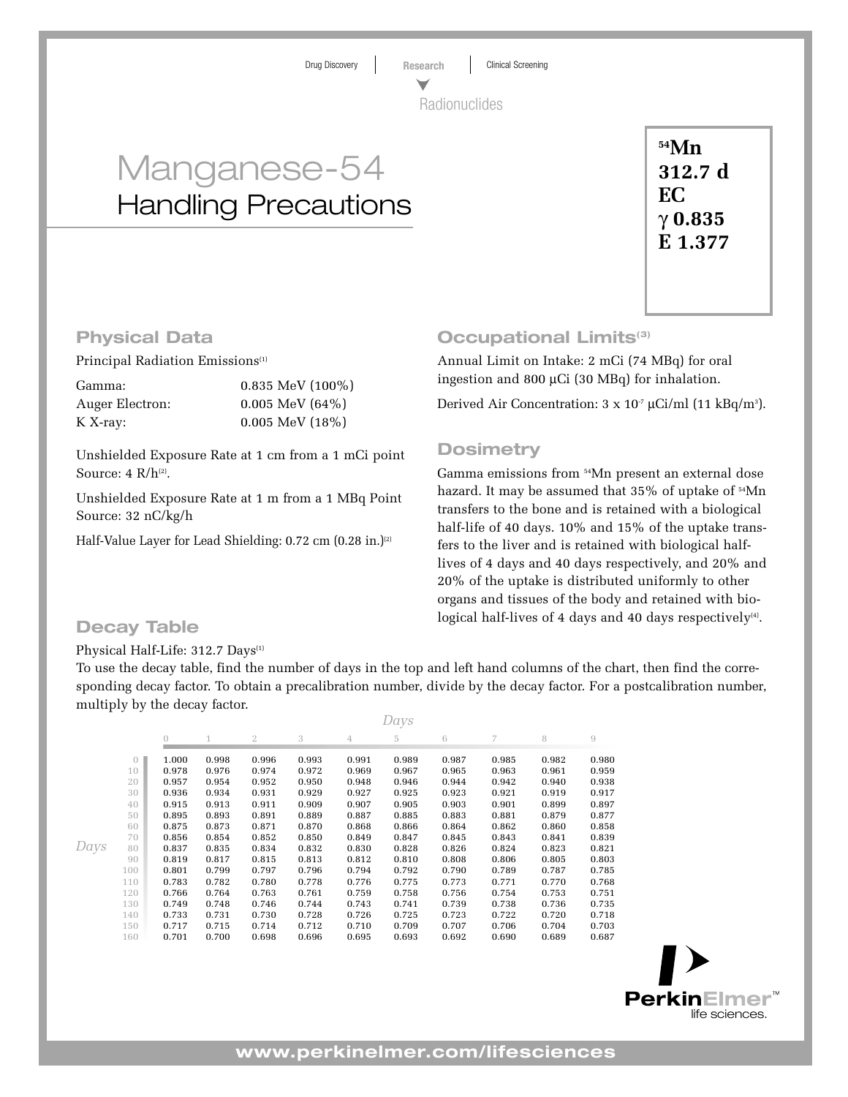Drug Discovery **Research** Clinical Screening Radionuclides

# Manganese-54 Handling Precautions

**54Mn 312.7 d EC** γ **0.835 E 1.377**

# **Physical Data**

Principal Radiation Emissions<sup>(1)</sup>

| Gamma:          | $0.835$ MeV $(100\%)$ |
|-----------------|-----------------------|
| Auger Electron: | $0.005$ MeV $(64\%)$  |
| $K X$ -ray:     | $0.005$ MeV $(18\%)$  |

Unshielded Exposure Rate at 1 cm from a 1 mCi point Source:  $4 \text{ R/h}^{(2)}$ .

Unshielded Exposure Rate at 1 m from a 1 MBq Point Source: 32 nC/kg/h

Half-Value Layer for Lead Shielding: 0.72 cm (0.28 in.)<sup>(2)</sup>

# **Occupational Limits(3)**

Annual Limit on Intake: 2 mCi (74 MBq) for oral ingestion and 800 µCi (30 MBq) for inhalation.

Derived Air Concentration:  $3 \times 10^7 \mu$ Ci/ml (11 kBq/m<sup>3</sup>).

# **Dosimetry**

Gamma emissions from 54Mn present an external dose hazard. It may be assumed that 35% of uptake of 54Mn transfers to the bone and is retained with a biological half-life of 40 days. 10% and 15% of the uptake transfers to the liver and is retained with biological halflives of 4 days and 40 days respectively, and 20% and 20% of the uptake is distributed uniformly to other organs and tissues of the body and retained with bio-**Decay Table Decay Table Decay Table Decay Table Decay Table Decay Table Decay I** 

### Physical Half-Life: 312.7 Days<sup>(1)</sup>

To use the decay table, find the number of days in the top and left hand columns of the chart, then find the corresponding decay factor. To obtain a precalibration number, divide by the decay factor. For a postcalibration number, multiply by the decay factor.

|          | Days           |       |       |       |       |       |       |       |       |       |
|----------|----------------|-------|-------|-------|-------|-------|-------|-------|-------|-------|
|          | $\overline{0}$ | 1     | 2     | 3     | 4     | 5     | 6     | 7     | 8     | $\,9$ |
| $\theta$ | 1.000          | 0.998 | 0.996 | 0.993 | 0.991 | 0.989 | 0.987 | 0.985 | 0.982 | 0.980 |
| 10       | 0.978          | 0.976 | 0.974 | 0.972 | 0.969 | 0.967 | 0.965 | 0.963 | 0.961 | 0.959 |
| 20       | 0.957          | 0.954 | 0.952 | 0.950 | 0.948 | 0.946 | 0.944 | 0.942 | 0.940 | 0.938 |
| 30       | 0.936          | 0.934 | 0.931 | 0.929 | 0.927 | 0.925 | 0.923 | 0.921 | 0.919 | 0.917 |
| 40       | 0.915          | 0.913 | 0.911 | 0.909 | 0.907 | 0.905 | 0.903 | 0.901 | 0.899 | 0.897 |
| 50       | 0.895          | 0.893 | 0.891 | 0.889 | 0.887 | 0.885 | 0.883 | 0.881 | 0.879 | 0.877 |
| 60       | 0.875          | 0.873 | 0.871 | 0.870 | 0.868 | 0.866 | 0.864 | 0.862 | 0.860 | 0.858 |
| 70       | 0.856          | 0.854 | 0.852 | 0.850 | 0.849 | 0.847 | 0.845 | 0.843 | 0.841 | 0.839 |
| 80       | 0.837          | 0.835 | 0.834 | 0.832 | 0.830 | 0.828 | 0.826 | 0.824 | 0.823 | 0.821 |
| 90       | 0.819          | 0.817 | 0.815 | 0.813 | 0.812 | 0.810 | 0.808 | 0.806 | 0.805 | 0.803 |
| 100      | 0.801          | 0.799 | 0.797 | 0.796 | 0.794 | 0.792 | 0.790 | 0.789 | 0.787 | 0.785 |
| 110      | 0.783          | 0.782 | 0.780 | 0.778 | 0.776 | 0.775 | 0.773 | 0.771 | 0.770 | 0.768 |
| 120      | 0.766          | 0.764 | 0.763 | 0.761 | 0.759 | 0.758 | 0.756 | 0.754 | 0.753 | 0.751 |
| 130      | 0.749          | 0.748 | 0.746 | 0.744 | 0.743 | 0.741 | 0.739 | 0.738 | 0.736 | 0.735 |
| 140      | 0.733          | 0.731 | 0.730 | 0.728 | 0.726 | 0.725 | 0.723 | 0.722 | 0.720 | 0.718 |
| 150      | 0.717          | 0.715 | 0.714 | 0.712 | 0.710 | 0.709 | 0.707 | 0.706 | 0.704 | 0.703 |
| 160      | 0.701          | 0.700 | 0.698 | 0.696 | 0.695 | 0.693 | 0.692 | 0.690 | 0.689 | 0.687 |
|          |                |       |       |       |       |       |       |       |       |       |